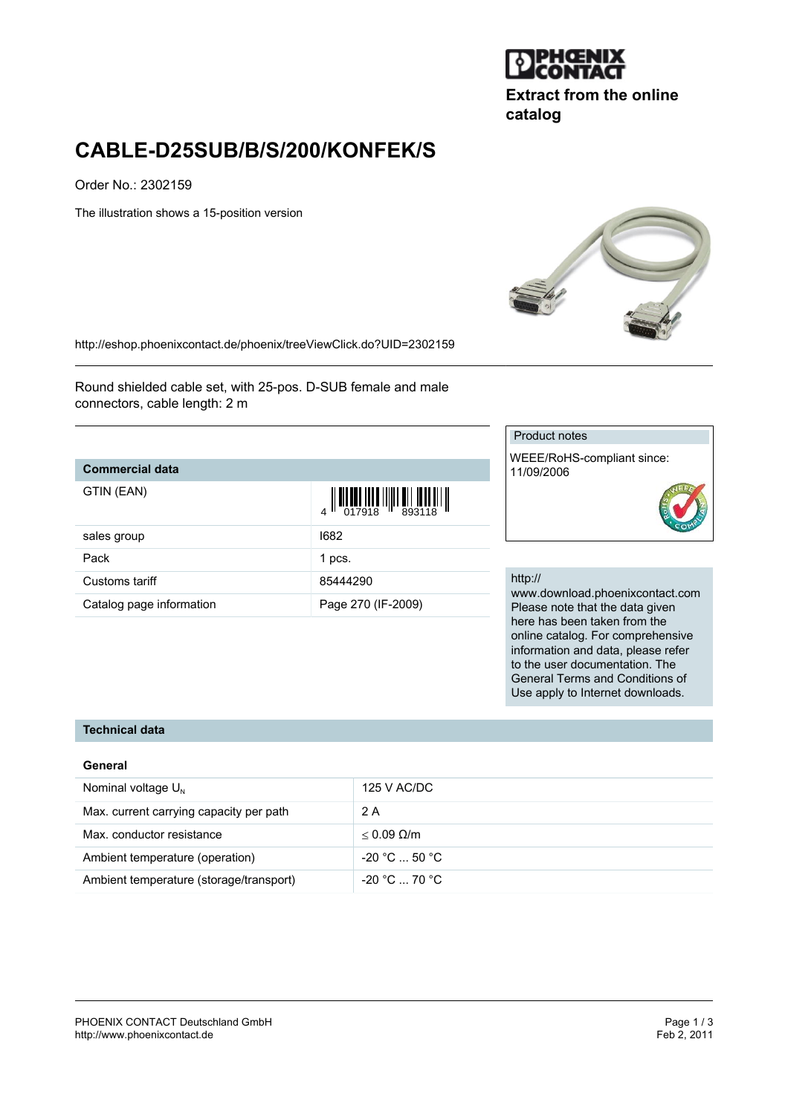

**Extract from the online catalog**

# **CABLE-D25SUB/B/S/200/KONFEK/S**

Order No.: 2302159

The illustration shows a 15-position version



<http://eshop.phoenixcontact.de/phoenix/treeViewClick.do?UID=2302159>

Round shielded cable set, with 25-pos. D-SUB female and male connectors, cable length: 2 m

## **Commercial data**

| GTIN (EAN)               | $\begin{array}{c} \begin{array}{c} \end{array} \begin{array}{c} \end{array} \begin{array}{c} \end{array} \begin{array}{c} \end{array} \begin{array}{c} \end{array} \begin{array}{c} \end{array} \begin{array}{c} \end{array} \begin{array}{c} \end{array} \begin{array}{c} \end{array} \begin{array}{c} \end{array} \begin{array}{c} \end{array} \begin{array}{c} \end{array} \begin{array}{c} \end{array} \begin{array}{c} \end{array} \begin{array}{c} \end{array} \begin{array}{c} \end{array} \begin{array}{c} \end{array} \begin{array}{c} \end$ |
|--------------------------|-------------------------------------------------------------------------------------------------------------------------------------------------------------------------------------------------------------------------------------------------------------------------------------------------------------------------------------------------------------------------------------------------------------------------------------------------------------------------------------------------------------------------------------------------------|
| sales group              | 1682                                                                                                                                                                                                                                                                                                                                                                                                                                                                                                                                                  |
| Pack                     | 1 pcs.                                                                                                                                                                                                                                                                                                                                                                                                                                                                                                                                                |
| Customs tariff           | 85444290                                                                                                                                                                                                                                                                                                                                                                                                                                                                                                                                              |
| Catalog page information | Page 270 (IF-2009)                                                                                                                                                                                                                                                                                                                                                                                                                                                                                                                                    |

#### Product notes

WEEE/RoHS-compliant since: 11/09/2006

#### http://

www.download.phoenixcontact.com Please note that the data given here has been taken from the online catalog. For comprehensive information and data, please refer to the user documentation. The General Terms and Conditions of Use apply to Internet downloads.

#### **Technical data**

#### **General**

| Nominal voltage $U_{N}$                 | 125 V AC/DC          |
|-----------------------------------------|----------------------|
| Max. current carrying capacity per path | 2 A                  |
| Max. conductor resistance               | $< 0.09$ Q/m         |
| Ambient temperature (operation)         | $-20 °C  50 °C$      |
| Ambient temperature (storage/transport) | $-20\degree$ C 70 °C |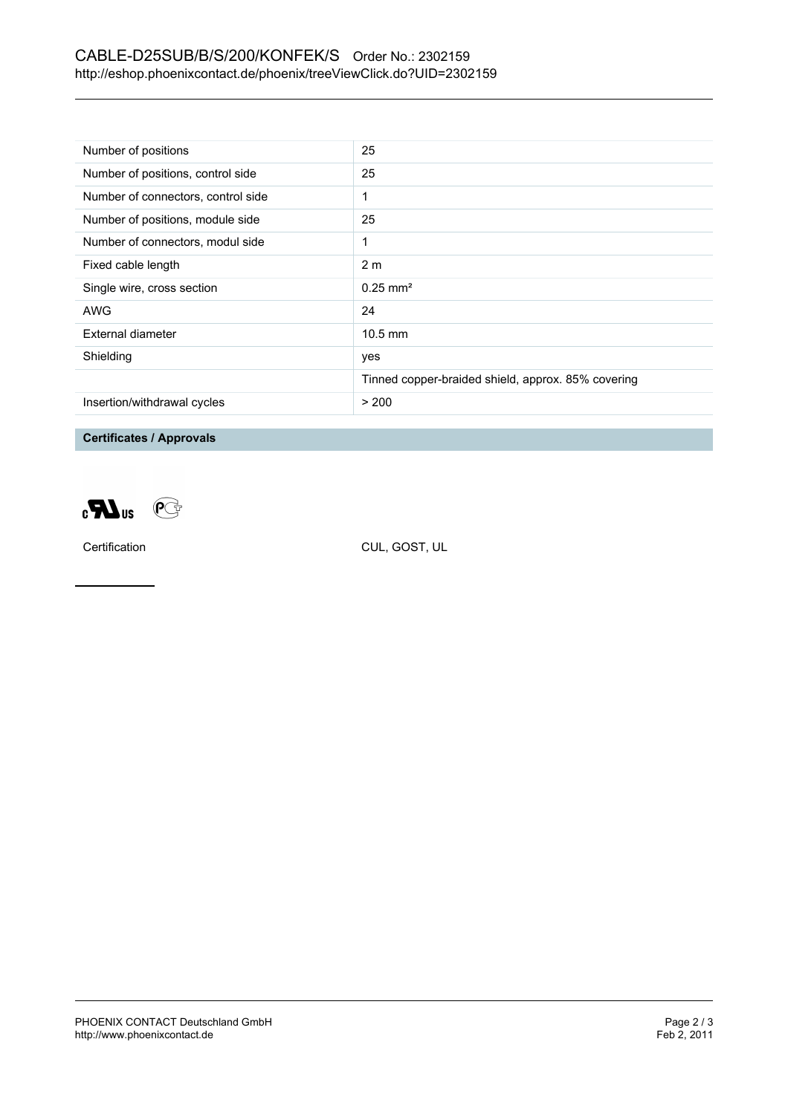## CABLE-D25SUB/B/S/200/KONFEK/S Order No.: 2302159 <http://eshop.phoenixcontact.de/phoenix/treeViewClick.do?UID=2302159>

| Number of positions                | 25                                                 |
|------------------------------------|----------------------------------------------------|
| Number of positions, control side  | 25                                                 |
| Number of connectors, control side | 1                                                  |
| Number of positions, module side   | 25                                                 |
| Number of connectors, modul side   | 1                                                  |
| Fixed cable length                 | 2 <sub>m</sub>                                     |
| Single wire, cross section         | $0.25 \text{ mm}^2$                                |
| AWG                                | 24                                                 |
| External diameter                  | $10.5$ mm                                          |
| Shielding                          | yes                                                |
|                                    | Tinned copper-braided shield, approx. 85% covering |
| Insertion/withdrawal cycles        | > 200                                              |

**Certificates / Approvals**



Certification CUL, GOST, UL